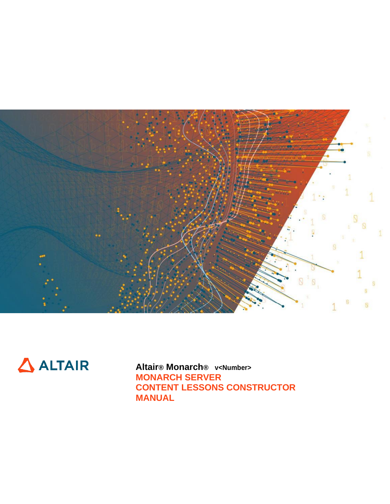



**Altair® Monarch® v<Number> MONARCH SERVER CONTENT LESSONS CONSTRUCTOR MANUAL**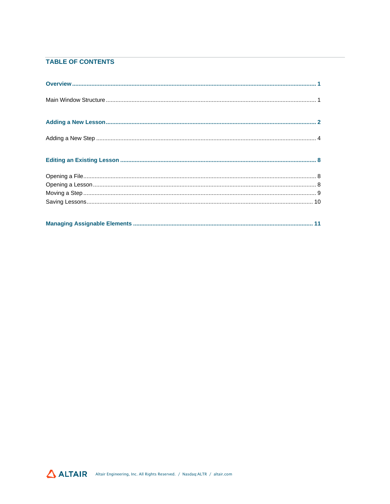### **TABLE OF CONTENTS**

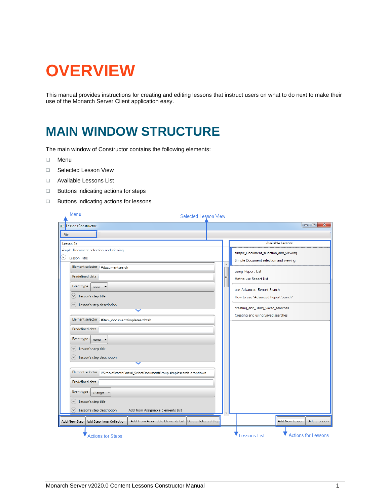# <span id="page-2-0"></span>**OVERVIEW**

This manual provides instructions for creating and editing lessons that instruct users on what to do next to make their use of the Monarch Server Client application easy.

## <span id="page-2-1"></span>**MAIN WINDOW STRUCTURE**

The main window of Constructor contains the following elements:

- ❑ Menu
- ❑ Selected Lesson View
- ❑ Available Lessons List
- ❑ Buttons indicating actions for steps
- ❑ Buttons indicating actions for lessons

| Menu<br><b>Selected Lesson View</b>                                                                                                                                                                                          |  |                                                                                                                                 |
|------------------------------------------------------------------------------------------------------------------------------------------------------------------------------------------------------------------------------|--|---------------------------------------------------------------------------------------------------------------------------------|
| <b>Expansions</b> Constructor                                                                                                                                                                                                |  | $\begin{array}{c c c c c} \hline \multicolumn{3}{c }{\textbf{0}} & \multicolumn{3}{c }{\textbf{0}} \end{array}$<br>$\mathbf{x}$ |
| File                                                                                                                                                                                                                         |  |                                                                                                                                 |
| Lesson Id                                                                                                                                                                                                                    |  | Available Lessons                                                                                                               |
| simple_Document_selection_and_viewing<br>Y)<br>Lesson Title<br>Element selector: #documentsearch                                                                                                                             |  | simple_Document_selection_and_viewing<br>Simple Document selection and viewing                                                  |
| Predefined data:<br>Event type :                                                                                                                                                                                             |  | using_Report_List<br>Hot to use Report List                                                                                     |
| $none$ $\rightarrow$<br>Lesson's step title<br>$\checkmark$<br>Lesson's step description<br>$\checkmark$                                                                                                                     |  | use_Advanced_Report_Search<br>How to use "Advanced Report Search"<br>creating_and_using_Saved_searches                          |
| Element selector: #item_documentsimplesearchtab<br>Predefined data:                                                                                                                                                          |  | Creating and using Saved searches                                                                                               |
| Event type:<br>$none - r$<br>Lesson's step title<br>$\checkmark$<br>Lesson's step description<br>$\checkmark$                                                                                                                |  |                                                                                                                                 |
| Element selector: #SimpleSearchPartial_SelectDocumentGroup.simplesearch-dropdown<br>Predefined data:                                                                                                                         |  |                                                                                                                                 |
| Event type:<br>change $\blacktriangledown$                                                                                                                                                                                   |  |                                                                                                                                 |
| Lesson's step title<br>$\checkmark$<br>Lesson's step description<br>Add from Assignable Elements List<br>$\checkmark$<br>Add from Assignable Elements List   Delete Selected Step<br>Add New Step   Add Step from Collection |  | Add New Lesson<br>Delete Lesson                                                                                                 |
| <b>Actions for Steps</b>                                                                                                                                                                                                     |  | essons List<br><b>Actions for Lessons</b>                                                                                       |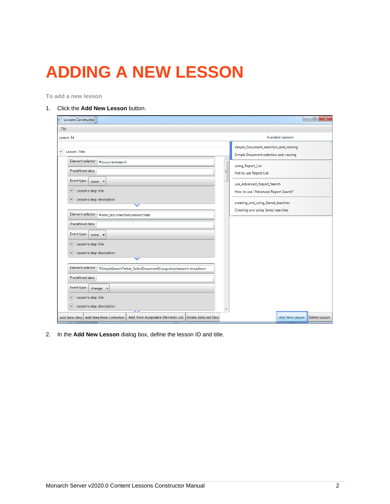# <span id="page-3-0"></span>**ADDING A NEW LESSON**

**To add a new lesson**

### 1. Click the **Add New Lesson** button.

| <b>Lessons Constructor</b>                                                                                                                                                                                                                                                                             |   | $\Box$<br>$\mathbf{x}$                                                                                                                                                                     |
|--------------------------------------------------------------------------------------------------------------------------------------------------------------------------------------------------------------------------------------------------------------------------------------------------------|---|--------------------------------------------------------------------------------------------------------------------------------------------------------------------------------------------|
| File                                                                                                                                                                                                                                                                                                   |   |                                                                                                                                                                                            |
| Lesson Id                                                                                                                                                                                                                                                                                              |   | Available Lessons                                                                                                                                                                          |
| Lesson Title<br>$\checkmark$                                                                                                                                                                                                                                                                           |   | simple_Document_selection_and_viewing<br>Simple Document selection and viewing                                                                                                             |
| Element selector: #documentsearch<br>Predefined data:<br>Event type : none $\blacktriangledown$<br>Lesson's step title<br>٧<br>Lesson's step description<br>٧<br>Element selector: #item_documentsimplesearchtab<br>Predefined data:<br>Event type:<br>$none -$<br>Lesson's step title<br>$\checkmark$ | Ξ | using_Report_List<br>Hot to use Report List<br>use_Advanced_Report_Search<br>How to use "Advanced Report Search"<br>creating_and_using_Saved_searches<br>Creating and using Saved searches |
| Lesson's step description<br>٧                                                                                                                                                                                                                                                                         |   |                                                                                                                                                                                            |
| Element selector: #SimpleSearchPartial_SelectDocumentGroup.simplesearch-dropdown<br>Predefined data:<br>Event type:<br>change $\blacktriangledown$<br>Lesson's step title<br>$\checkmark$<br>Lesson's step description                                                                                 |   |                                                                                                                                                                                            |
| Add from Assignable Elements List   Delete Selected Step<br>Add Step from Collection<br>Add New Step                                                                                                                                                                                                   |   | Add New Lesson   Delete Lesson                                                                                                                                                             |

2. In the **Add New Lesson** dialog box, define the lesson ID and title.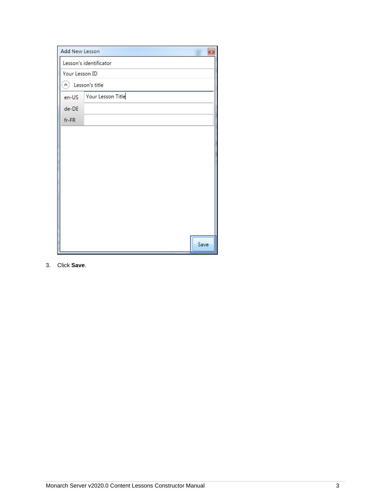| Add New Lesson         |                         | $\mathbf{z}$ |
|------------------------|-------------------------|--------------|
| Lesson's identificator |                         |              |
|                        | Your Lesson ID          |              |
| (A) Lesson's title     |                         |              |
|                        | en-US Your Lesson Title |              |
| de-DE                  |                         |              |
| fr-FR                  |                         |              |
|                        |                         |              |
|                        |                         |              |
|                        |                         |              |
|                        |                         |              |
|                        |                         |              |
|                        |                         |              |
|                        |                         |              |
|                        |                         |              |
|                        |                         |              |
|                        |                         |              |
|                        |                         | Save         |

3. Click **Save**.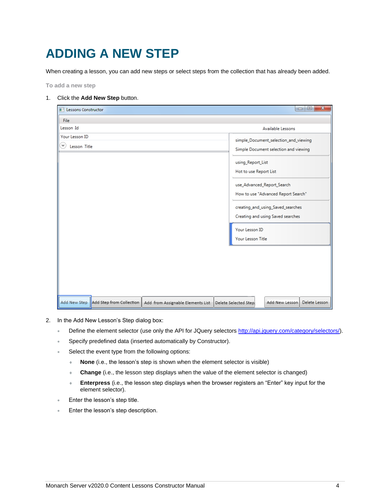## <span id="page-5-0"></span>**ADDING A NEW STEP**

When creating a lesson, you can add new steps or select steps from the collection that has already been added.

<span id="page-5-1"></span>**To add a new step**

#### 1. Click the **Add New Step** button.

| File<br>Lesson Id                                                                                    | Available Lessons                                                                                                                                                                                                                                                                                                   |
|------------------------------------------------------------------------------------------------------|---------------------------------------------------------------------------------------------------------------------------------------------------------------------------------------------------------------------------------------------------------------------------------------------------------------------|
|                                                                                                      |                                                                                                                                                                                                                                                                                                                     |
|                                                                                                      |                                                                                                                                                                                                                                                                                                                     |
| Your Lesson ID<br>Lesson Title                                                                       | simple_Document_selection_and_viewing<br>Simple Document selection and viewing<br>using_Report_List<br>Hot to use Report List<br>use_Advanced_Report_Search<br>How to use "Advanced Report Search"<br>creating_and_using_Saved_searches<br>Creating and using Saved searches<br>Your Lesson ID<br>Your Lesson Title |
| Add New Step<br>Add Step from Collection<br>Add from Assignable Elements List   Delete Selected Step | Add New Lesson<br>Delete Lesson                                                                                                                                                                                                                                                                                     |

- 2. In the Add New Lesson's Step dialog box:
	- Define the element selector (use only the API for JQuery selectors [http://api.jquery.com/category/selectors/\)](http://api.jquery.com/category/selectors/).
	- Specify predefined data (inserted automatically by Constructor).
	- Select the event type from the following options:
		- **None** (i.e., the lesson's step is shown when the element selector is visible)
		- **Change** (i.e., the lesson step displays when the value of the element selector is changed)
		- **Enterpress** (i.e., the lesson step displays when the browser registers an "Enter" key input for the element selector).
	- Enter the lesson's step title.
	- Enter the lesson's step description.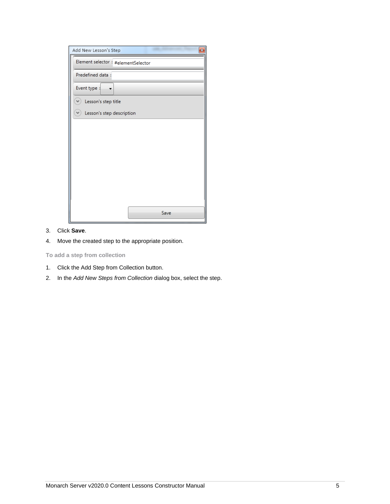| Add New Lesson's Step<br>器         |
|------------------------------------|
| Element selector: #elementSelector |
| Predefined data:                   |
| Event type :                       |
| Lesson's step title<br>v           |
| Lesson's step description          |
|                                    |
|                                    |
|                                    |
|                                    |
|                                    |
|                                    |
|                                    |
| Save                               |

- 3. Click **Save**.
- 4. Move the created step to the appropriate position.

**To add a step from collection**

- 1. Click the Add Step from Collection button.
- 2. In the *Add New Steps from Collection* dialog box, select the step.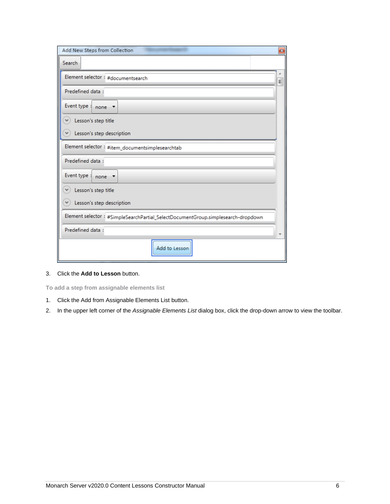| Add New Steps from Collection                                                    | $\mathbf{z}$ |  |
|----------------------------------------------------------------------------------|--------------|--|
| Search                                                                           |              |  |
| Element selector: #documentsearch                                                | Ξ            |  |
| Predefined data:                                                                 |              |  |
| Event type:<br>$none$ $\rightarrow$                                              |              |  |
| Lesson's step title                                                              |              |  |
| Lesson's step description                                                        |              |  |
| Element selector: #item_documentsimplesearchtab                                  |              |  |
| Predefined data:                                                                 |              |  |
| Event type :<br>none $\overline{ }$                                              |              |  |
| Lesson's step title<br>$\checkmark$                                              |              |  |
| Lesson's step description                                                        |              |  |
| Element selector: #SimpleSearchPartial_SelectDocumentGroup.simplesearch-dropdown |              |  |
| Predefined data:                                                                 |              |  |
| Add to Lesson                                                                    |              |  |

3. Click the **Add to Lesson** button.

<span id="page-7-0"></span>**To add a step from assignable elements list**

- 1. Click the Add from Assignable Elements List button.
- 2. In the upper left corner of the *Assignable Elements List* dialog box, click the drop-down arrow to view the toolbar.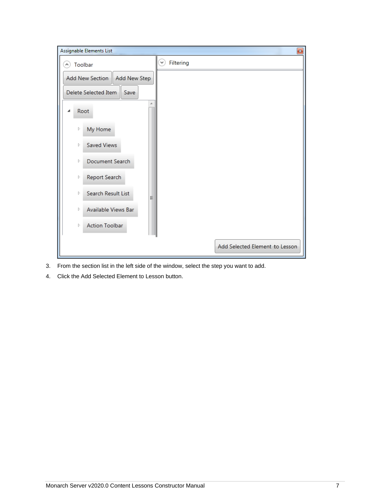| Assignable Elements List<br>$\vert x \vert$ |                                |  |  |
|---------------------------------------------|--------------------------------|--|--|
| Toolbar<br>ᄾ                                | Filtering<br>$\checkmark$      |  |  |
| Add New Section<br>Add New Step             |                                |  |  |
| Delete Selected Item<br>Save                |                                |  |  |
| Root                                        |                                |  |  |
| My Home<br>Þ                                |                                |  |  |
| Saved Views<br>Þ                            |                                |  |  |
| Document Search<br>Þ                        |                                |  |  |
| Report Search<br>Þ                          |                                |  |  |
| Search Result List<br>Þ<br>Ξ                |                                |  |  |
| Available Views Bar<br>Þ                    |                                |  |  |
| <b>Action Toolbar</b><br>Þ                  |                                |  |  |
|                                             | Add Selected Element to Lesson |  |  |

- 3. From the section list in the left side of the window, select the step you want to add.
- 4. Click the Add Selected Element to Lesson button.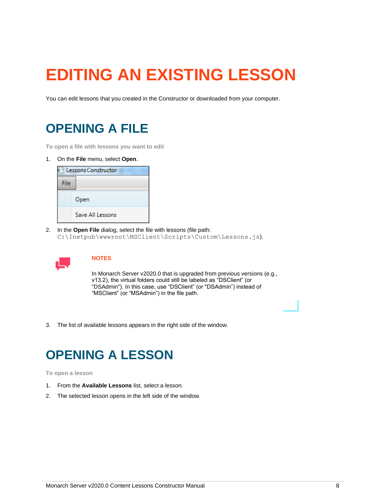# <span id="page-9-0"></span>**EDITING AN EXISTING LESSON**

<span id="page-9-1"></span>You can edit lessons that you created in the Constructor or downloaded from your computer.

### **OPENING A FILE**

**To open a file with lessons you want to edit**

1. On the **File** menu, select **Open**.



2. In the **Open File** dialog, select the file with lessons (file path: C:\Inetpub\wwwroot\MSClient\Scripts\Custom\Lessons.js).



### **NOTES**

In Monarch Server v2020.0 that is upgraded from previous versions (e.g., v13.2), the virtual folders could still be labeled as "DSClient" (or "DSAdmin"). In this case, use "DSClient" (or "DSAdmin") instead of "MSClient" (or "MSAdmin") in the file path.

<span id="page-9-2"></span>3. The list of available lessons appears in the right side of the window.

### **OPENING A LESSON**

#### **To open a lesson**

- 1. From the **Available Lessons** list, select a lesson.
- 2. The selected lesson opens in the left side of the window.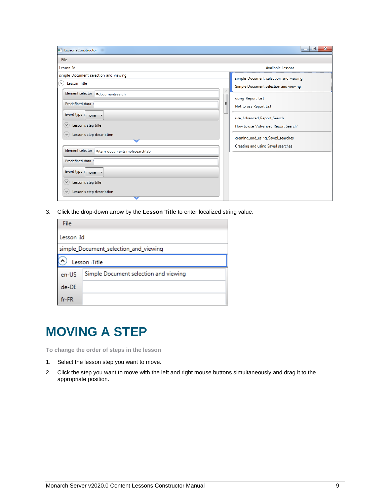| <b>El Lessons Constructor</b>                                                                                                                                                                                                                                                                                                                         | $\mathbf{x}$<br>$\Box$<br>$\Box$ |                                                                                                                                                                                                                                                                              |
|-------------------------------------------------------------------------------------------------------------------------------------------------------------------------------------------------------------------------------------------------------------------------------------------------------------------------------------------------------|----------------------------------|------------------------------------------------------------------------------------------------------------------------------------------------------------------------------------------------------------------------------------------------------------------------------|
| File                                                                                                                                                                                                                                                                                                                                                  |                                  |                                                                                                                                                                                                                                                                              |
| Lesson Id                                                                                                                                                                                                                                                                                                                                             |                                  | Available Lessons                                                                                                                                                                                                                                                            |
| simple_Document_selection_and_viewing<br>Lesson Title<br>$\vee$<br>Element selector: #documentsearch<br>Predefined data:<br>Event type<br>none $\overline{ }$<br>Lesson's step title<br>٧<br>Lesson's step description<br>$\mathcal{A}$<br>Element selector: #item_documentsimplesearchtab<br>Predefined data:<br>Event type:<br>$none$ $\rightarrow$ | Ξ                                | simple_Document_selection_and_viewing<br>Simple Document selection and viewing<br>using_Report_List<br>Hot to use Report List<br>use_Advanced_Report_Search<br>How to use "Advanced Report Search"<br>creating_and_using_Saved_searches<br>Creating and using Saved searches |
| Lesson's step title<br>$\checkmark$<br>Lesson's step description<br>$\checkmark$                                                                                                                                                                                                                                                                      |                                  |                                                                                                                                                                                                                                                                              |

3. Click the drop-down arrow by the **Lesson Title** to enter localized string value.

| File      |                                       |  |  |
|-----------|---------------------------------------|--|--|
| Lesson Id |                                       |  |  |
|           | simple_Document_selection_and_viewing |  |  |
|           | Lesson Title                          |  |  |
| en-US     | Simple Document selection and viewing |  |  |
| de-DE     |                                       |  |  |
| $fr-FR$   |                                       |  |  |

### <span id="page-10-0"></span>**MOVING A STEP**

**To change the order of steps in the lesson**

- 1. Select the lesson step you want to move.
- 2. Click the step you want to move with the left and right mouse buttons simultaneously and drag it to the appropriate position.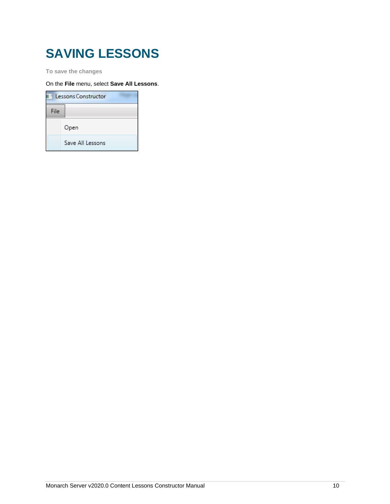## <span id="page-11-0"></span>**SAVING LESSONS**

**To save the changes**

On the **File** menu, select **Save All Lessons**.

| <b>Lessons Constructor</b> |                  |  |
|----------------------------|------------------|--|
| File                       |                  |  |
|                            | Open             |  |
|                            | Save All Lessons |  |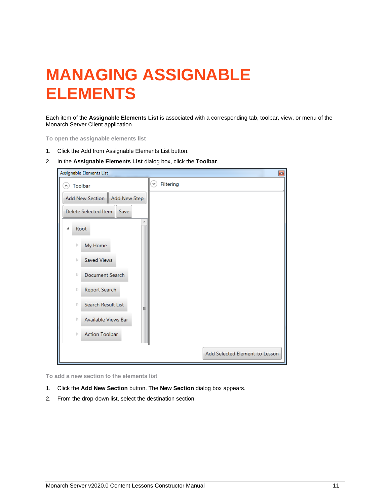## <span id="page-12-0"></span>**MANAGING ASSIGNABLE ELEMENTS**

Each item of the **Assignable Elements List** is associated with a corresponding tab, toolbar, view, or menu of the Monarch Server Client application.

**To open the assignable elements list**

- 1. Click the Add from Assignable Elements List button.
- 2. In the **Assignable Elements List** dialog box, click the **Toolbar**.

| Assignable Elements List        | $\vert x \vert$                |
|---------------------------------|--------------------------------|
| Toolbar<br>۸                    | Filtering<br>٧                 |
| Add New Section<br>Add New Step |                                |
| Delete Selected Item<br>Save    |                                |
| Root<br>◢                       |                                |
| My Home<br>Þ                    |                                |
| Saved Views<br>Þ                |                                |
| Document Search<br>Þ            |                                |
| Report Search<br>Þ              |                                |
| Search Result List<br>Þ<br>Ξ    |                                |
| Available Views Bar<br>Þ        |                                |
| Action Toolbar<br>Þ             |                                |
|                                 | Add Selected Element to Lesson |

**To add a new section to the elements list**

- 1. Click the **Add New Section** button. The **New Section** dialog box appears.
- 2. From the drop-down list, select the destination section.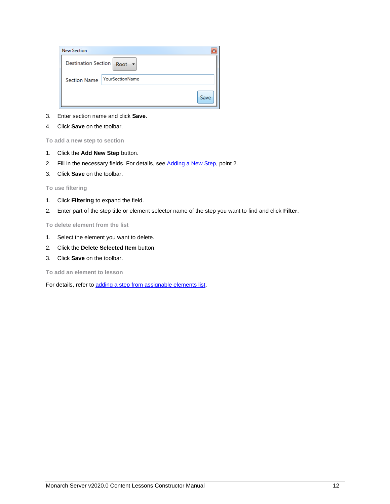| <b>New Section</b>                     | 器    |
|----------------------------------------|------|
| Destination Section   Root +           |      |
| YourSectionName<br><b>Section Name</b> |      |
|                                        | Save |

- 3. Enter section name and click **Save**.
- 4. Click **Save** on the toolbar.

**To add a new step to section**

- 1. Click the **Add New Step** button.
- 2. Fill in the necessary fields. For details, see [Adding a New Step,](#page-5-1) point 2.
- 3. Click **Save** on the toolbar.

**To use filtering**

- 1. Click **Filtering** to expand the field.
- 2. Enter part of the step title or element selector name of the step you want to find and click **Filter**.

**To delete element from the list**

- 1. Select the element you want to delete.
- 2. Click the **Delete Selected Item** button.
- 3. Click **Save** on the toolbar.

**To add an element to lesson**

For details, refer to [adding a step from assignable elements list.](#page-7-0)